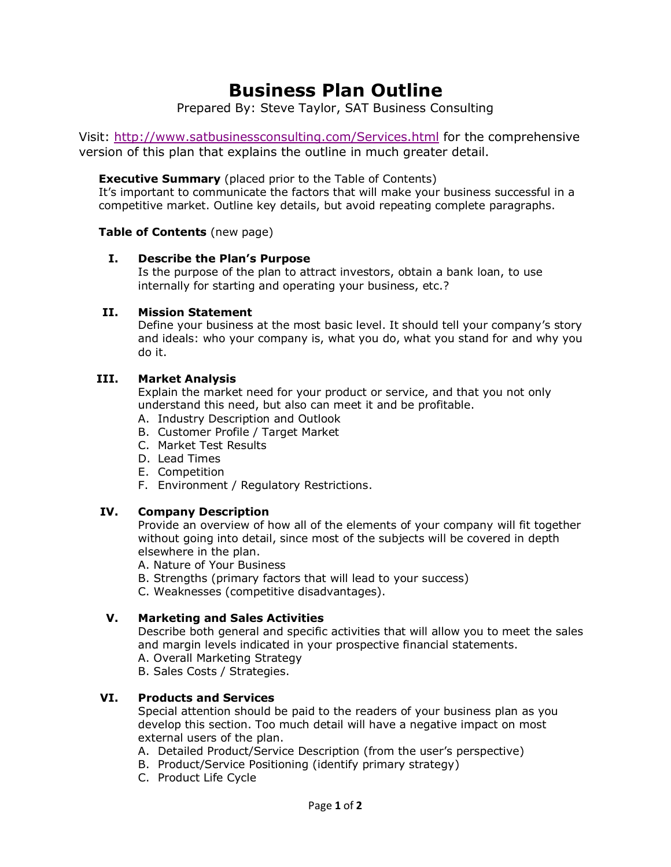# **Business Plan Outline**

Prepared By: Steve Taylor, SAT Business Consulting

Visit:<http://www.satbusinessconsulting.com/Services.html> for the comprehensive version of this plan that explains the outline in much greater detail.

**Executive Summary** (placed prior to the Table of Contents)

It's important to communicate the factors that will make your business successful in a competitive market. Outline key details, but avoid repeating complete paragraphs.

**Table of Contents** (new page)

#### **I. Describe the Plan's Purpose**

Is the purpose of the plan to attract investors, obtain a bank loan, to use internally for starting and operating your business, etc.?

#### **II. Mission Statement**

Define your business at the most basic level. It should tell your company's story and ideals: who your company is, what you do, what you stand for and why you do it.

#### **III. Market Analysis**

Explain the market need for your product or service, and that you not only understand this need, but also can meet it and be profitable.

- A. Industry Description and Outlook
- B. Customer Profile / Target Market
- C. Market Test Results
- D. Lead Times
- E. Competition
- F. Environment / Regulatory Restrictions.

## **IV. Company Description**

Provide an overview of how all of the elements of your company will fit together without going into detail, since most of the subjects will be covered in depth elsewhere in the plan.

- A. Nature of Your Business
- B. Strengths (primary factors that will lead to your success)

C. Weaknesses (competitive disadvantages).

## **V. Marketing and Sales Activities**

Describe both general and specific activities that will allow you to meet the sales and margin levels indicated in your prospective financial statements.

- A. Overall Marketing Strategy
- B. Sales Costs / Strategies.

## **VI. Products and Services**

Special attention should be paid to the readers of your business plan as you develop this section. Too much detail will have a negative impact on most external users of the plan.

- A. Detailed Product/Service Description (from the user's perspective)
- B. Product/Service Positioning (identify primary strategy)
- C. Product Life Cycle